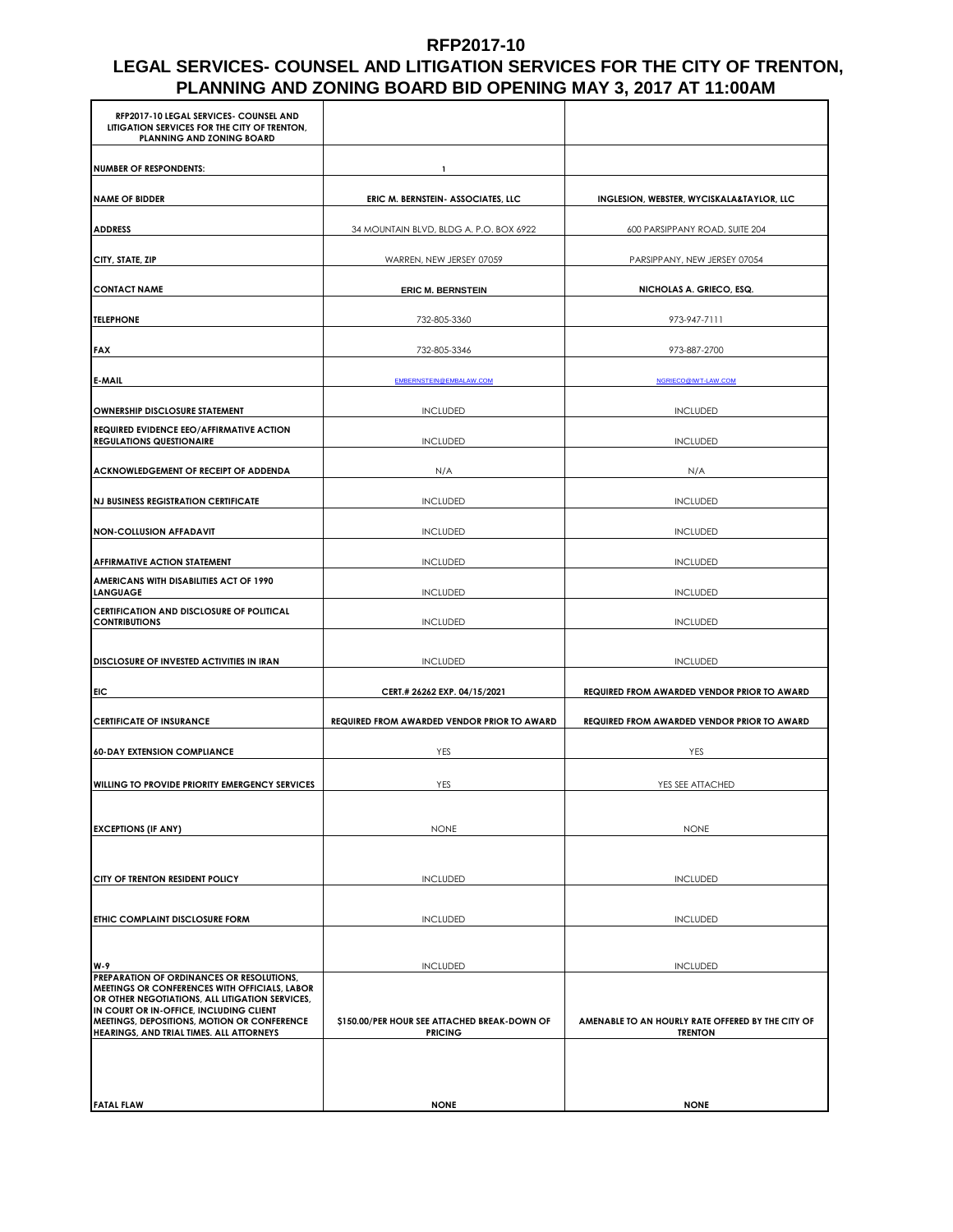#### **RFP2017-10**

#### **LEGAL SERVICES- COUNSEL AND LITIGATION SERVICES FOR THE CITY OF TRENTON, PLANNING AND ZONING BOARD BID OPENING MAY 3, 2017 AT 11:00AM**

| RFP2017-10 LEGAL SERVICES- COUNSEL AND<br>LITIGATION SERVICES FOR THE CITY OF TRENTON,<br>PLANNING AND ZONING BOARD                |                                                                |                                                                     |
|------------------------------------------------------------------------------------------------------------------------------------|----------------------------------------------------------------|---------------------------------------------------------------------|
| <b>NUMBER OF RESPONDENTS:</b>                                                                                                      | 1                                                              |                                                                     |
| <b>NAME OF BIDDER</b>                                                                                                              | ERIC M. BERNSTEIN- ASSOCIATES, LLC                             | INGLESION, WEBSTER, WYCISKALA&TAYLOR, LLC                           |
| <b>ADDRESS</b>                                                                                                                     | 34 MOUNTAIN BLVD, BLDG A. P.O. BOX 6922                        | 600 PARSIPPANY ROAD, SUITE 204                                      |
| CITY, STATE, ZIP                                                                                                                   | WARREN, NEW JERSEY 07059                                       | PARSIPPANY, NEW JERSEY 07054                                        |
| <b>CONTACT NAME</b>                                                                                                                | <b>ERIC M. BERNSTEIN</b>                                       | NICHOLAS A. GRIECO, ESQ.                                            |
| <b>TELEPHONE</b>                                                                                                                   | 732-805-3360                                                   | 973-947-7111                                                        |
| <b>FAX</b>                                                                                                                         | 732-805-3346                                                   | 973-887-2700                                                        |
| E-MAIL                                                                                                                             | EMBERNSTEIN@EMBALAW.COM                                        | NGRIECO@IWT-LAW.COM                                                 |
| OWNERSHIP DISCLOSURE STATEMENT                                                                                                     | <b>INCLUDED</b>                                                | <b>INCLUDED</b>                                                     |
| <b>REQUIRED EVIDENCE EEO/AFFIRMATIVE ACTION</b><br><b>REGULATIONS QUESTIONAIRE</b>                                                 | <b>INCLUDED</b>                                                | <b>INCLUDED</b>                                                     |
| ACKNOWLEDGEMENT OF RECEIPT OF ADDENDA                                                                                              | N/A                                                            | N/A                                                                 |
| <b>NJ BUSINESS REGISTRATION CERTIFICATE</b>                                                                                        | <b>INCLUDED</b>                                                | <b>INCLUDED</b>                                                     |
| <b>NON-COLLUSION AFFADAVIT</b>                                                                                                     | <b>INCLUDED</b>                                                | <b>INCLUDED</b>                                                     |
| <b>AFFIRMATIVE ACTION STATEMENT</b>                                                                                                | <b>INCLUDED</b>                                                | <b>INCLUDED</b>                                                     |
| AMERICANS WITH DISABILITIES ACT OF 1990<br><b>LANGUAGE</b>                                                                         | INCLUDED                                                       | <b>INCLUDED</b>                                                     |
| CERTIFICATION AND DISCLOSURE OF POLITICAL<br><b>CONTRIBUTIONS</b>                                                                  | <b>INCLUDED</b>                                                | <b>INCLUDED</b>                                                     |
| DISCLOSURE OF INVESTED ACTIVITIES IN IRAN                                                                                          | <b>INCLUDED</b>                                                | <b>INCLUDED</b>                                                     |
| EIC                                                                                                                                | CERT.# 26262 EXP. 04/15/2021                                   | REQUIRED FROM AWARDED VENDOR PRIOR TO AWARD                         |
| <b>CERTIFICATE OF INSURANCE</b>                                                                                                    | REQUIRED FROM AWARDED VENDOR PRIOR TO AWARD                    | REQUIRED FROM AWARDED VENDOR PRIOR TO AWARD                         |
| <b>60-DAY EXTENSION COMPLIANCE</b>                                                                                                 | YES                                                            | YES                                                                 |
| WILLING TO PROVIDE PRIORITY EMERGENCY SERVICES                                                                                     | YES                                                            | YES SEE ATTACHED                                                    |
|                                                                                                                                    |                                                                |                                                                     |
| <b>EXCEPTIONS (IF ANY)</b>                                                                                                         | <b>NONE</b>                                                    | <b>NONE</b>                                                         |
| CITY OF TRENTON RESIDENT POLICY                                                                                                    | <b>INCLUDED</b>                                                | <b>INCLUDED</b>                                                     |
|                                                                                                                                    |                                                                |                                                                     |
| ETHIC COMPLAINT DISCLOSURE FORM                                                                                                    | <b>INCLUDED</b>                                                | <b>INCLUDED</b>                                                     |
| W-9<br>PREPARATION OF ORDINANCES OR RESOLUTIONS,                                                                                   | <b>INCLUDED</b>                                                | <b>INCLUDED</b>                                                     |
| <b>MEETINGS OR CONFERENCES WITH OFFICIALS, LABOR</b><br>OR OTHER NEGOTIATIONS, ALL LITIGATION SERVICES,                            |                                                                |                                                                     |
| IN COURT OR IN-OFFICE, INCLUDING CLIENT<br>MEETINGS, DEPOSITIONS, MOTION OR CONFERENCE<br>HEARINGS, AND TRIAL TIMES. ALL ATTORNEYS | \$150.00/PER HOUR SEE ATTACHED BREAK-DOWN OF<br><b>PRICING</b> | AMENABLE TO AN HOURLY RATE OFFERED BY THE CITY OF<br><b>TRENTON</b> |
|                                                                                                                                    |                                                                |                                                                     |
|                                                                                                                                    |                                                                |                                                                     |
| <b>FATAL FLAW</b>                                                                                                                  | <b>NONE</b>                                                    | <b>NONE</b>                                                         |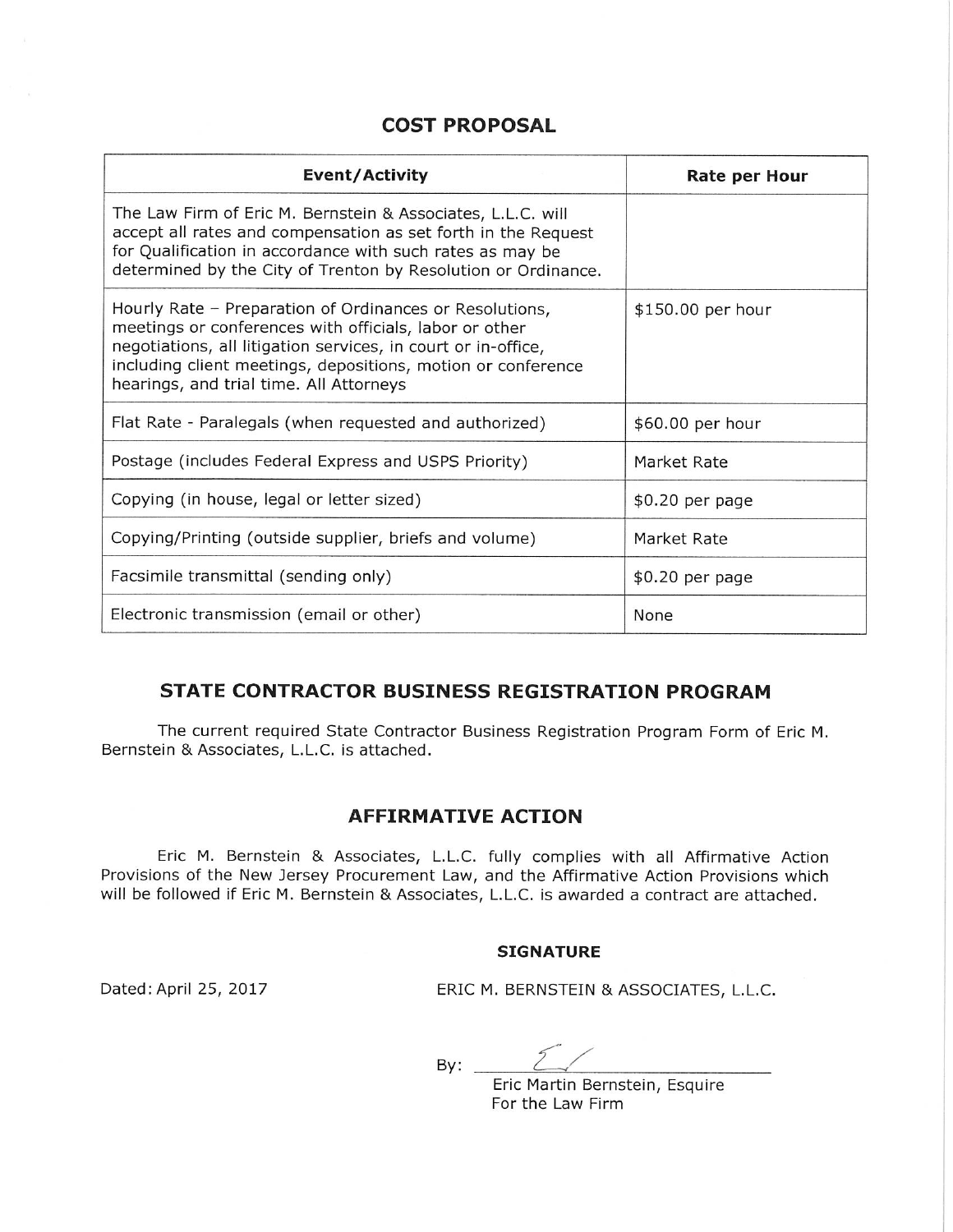# **COST PROPOSAL**

| <b>Event/Activity</b>                                                                                                                                                                                                                                                                         | Rate per Hour     |
|-----------------------------------------------------------------------------------------------------------------------------------------------------------------------------------------------------------------------------------------------------------------------------------------------|-------------------|
| The Law Firm of Eric M. Bernstein & Associates, L.L.C. will<br>accept all rates and compensation as set forth in the Request<br>for Qualification in accordance with such rates as may be<br>determined by the City of Trenton by Resolution or Ordinance.                                    |                   |
| Hourly Rate - Preparation of Ordinances or Resolutions,<br>meetings or conferences with officials, labor or other<br>negotiations, all litigation services, in court or in-office,<br>including client meetings, depositions, motion or conference<br>hearings, and trial time. All Attorneys | \$150.00 per hour |
| Flat Rate - Paralegals (when requested and authorized)                                                                                                                                                                                                                                        | \$60.00 per hour  |
| Postage (includes Federal Express and USPS Priority)                                                                                                                                                                                                                                          | Market Rate       |
| Copying (in house, legal or letter sized)                                                                                                                                                                                                                                                     | \$0.20 per page   |
| Copying/Printing (outside supplier, briefs and volume)                                                                                                                                                                                                                                        | Market Rate       |
| Facsimile transmittal (sending only)                                                                                                                                                                                                                                                          | \$0.20 per page   |
| Electronic transmission (email or other)                                                                                                                                                                                                                                                      | None              |

## **STATE CONTRACTOR BUSINESS REGISTRATION PROGRAM**

The current required State Contractor Business Registration Program Form of Eric M. Bernstein & Associates, L.L.C. is attached.

## **AFFIRMATIVE ACTION**

Eric M. Bernstein & Associates, L.L.C. fully complies with all Affirmative Action Provisions of the New Jersey Procurement Law, and the Affirmative Action Provisions which will be followed if Eric M. Bernstein & Associates, L.L.C. is awarded a contract are attached.

#### **SIGNATURE**

Dated: April 25, 2017

ERIC M. BERNSTEIN & ASSOCIATES, L.L.C.

 $By:$ 

Eric Martin Bernstein, Esquire For the Law Firm